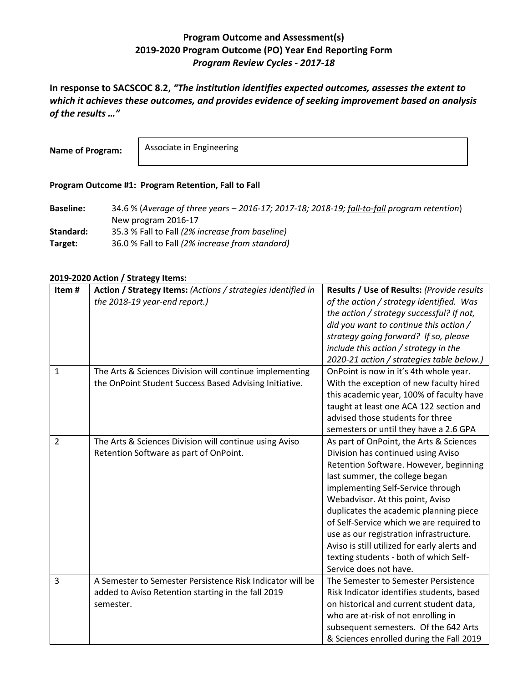## **Program Outcome and Assessment(s) 2019-2020 Program Outcome (PO) Year End Reporting Form** *Program Review Cycles - 2017-18*

**In response to SACSCOC 8.2,** *"The institution identifies expected outcomes, assesses the extent to which it achieves these outcomes, and provides evidence of seeking improvement based on analysis of the results …"*

**Name of Program:**

Associate in Engineering

## **Program Outcome #1: Program Retention, Fall to Fall**

**Baseline:** 34.6 % (*Average of three years – 2016-17; 2017-18; 2018-19; fall-to-fall program retention*) New program 2016-17 **Standard:** 35.3 % Fall to Fall *(2% increase from baseline)* **Target:** 36.0 % Fall to Fall *(2% increase from standard)*

## **2019-2020 Action / Strategy Items:**

| Item#          | Action / Strategy Items: (Actions / strategies identified in | Results / Use of Results: (Provide results   |
|----------------|--------------------------------------------------------------|----------------------------------------------|
|                | the 2018-19 year-end report.)                                | of the action / strategy identified. Was     |
|                |                                                              | the action / strategy successful? If not,    |
|                |                                                              | did you want to continue this action /       |
|                |                                                              | strategy going forward? If so, please        |
|                |                                                              | include this action / strategy in the        |
|                |                                                              | 2020-21 action / strategies table below.)    |
| $\mathbf{1}$   | The Arts & Sciences Division will continue implementing      | OnPoint is now in it's 4th whole year.       |
|                | the OnPoint Student Success Based Advising Initiative.       | With the exception of new faculty hired      |
|                |                                                              | this academic year, 100% of faculty have     |
|                |                                                              | taught at least one ACA 122 section and      |
|                |                                                              | advised those students for three             |
|                |                                                              | semesters or until they have a 2.6 GPA       |
| $\overline{2}$ | The Arts & Sciences Division will continue using Aviso       | As part of OnPoint, the Arts & Sciences      |
|                | Retention Software as part of OnPoint.                       | Division has continued using Aviso           |
|                |                                                              | Retention Software. However, beginning       |
|                |                                                              | last summer, the college began               |
|                |                                                              | implementing Self-Service through            |
|                |                                                              | Webadvisor. At this point, Aviso             |
|                |                                                              | duplicates the academic planning piece       |
|                |                                                              | of Self-Service which we are required to     |
|                |                                                              | use as our registration infrastructure.      |
|                |                                                              | Aviso is still utilized for early alerts and |
|                |                                                              | texting students - both of which Self-       |
|                |                                                              | Service does not have.                       |
| 3              | A Semester to Semester Persistence Risk Indicator will be    | The Semester to Semester Persistence         |
|                | added to Aviso Retention starting in the fall 2019           | Risk Indicator identifies students, based    |
|                | semester.                                                    | on historical and current student data,      |
|                |                                                              | who are at-risk of not enrolling in          |
|                |                                                              | subsequent semesters. Of the 642 Arts        |
|                |                                                              | & Sciences enrolled during the Fall 2019     |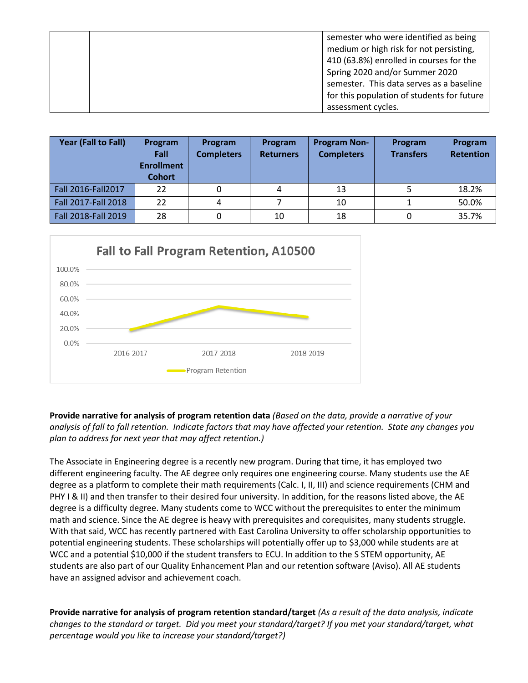|  | semester who were identified as being      |
|--|--------------------------------------------|
|  | medium or high risk for not persisting,    |
|  | 410 (63.8%) enrolled in courses for the    |
|  | Spring 2020 and/or Summer 2020             |
|  | semester. This data serves as a baseline   |
|  | for this population of students for future |
|  | assessment cycles.                         |

| Year (Fall to Fall) | Program<br>Fall<br><b>Enrollment</b><br><b>Cohort</b> | <b>Program</b><br><b>Completers</b> | Program<br><b>Returners</b> | <b>Program Non-</b><br><b>Completers</b> | Program<br><b>Transfers</b> | Program<br><b>Retention</b> |
|---------------------|-------------------------------------------------------|-------------------------------------|-----------------------------|------------------------------------------|-----------------------------|-----------------------------|
| Fall 2016-Fall 2017 | 22                                                    | 0                                   | 4                           | 13                                       |                             | 18.2%                       |
| Fall 2017-Fall 2018 | 22                                                    | 4                                   |                             | 10                                       |                             | 50.0%                       |
| Fall 2018-Fall 2019 | 28                                                    | 0                                   | 10                          | 18                                       | 0                           | 35.7%                       |



**Provide narrative for analysis of program retention data** *(Based on the data, provide a narrative of your analysis of fall to fall retention. Indicate factors that may have affected your retention. State any changes you plan to address for next year that may affect retention.)*

The Associate in Engineering degree is a recently new program. During that time, it has employed two different engineering faculty. The AE degree only requires one engineering course. Many students use the AE degree as a platform to complete their math requirements (Calc. I, II, III) and science requirements (CHM and PHY I & II) and then transfer to their desired four university. In addition, for the reasons listed above, the AE degree is a difficulty degree. Many students come to WCC without the prerequisites to enter the minimum math and science. Since the AE degree is heavy with prerequisites and corequisites, many students struggle. With that said, WCC has recently partnered with East Carolina University to offer scholarship opportunities to potential engineering students. These scholarships will potentially offer up to \$3,000 while students are at WCC and a potential \$10,000 if the student transfers to ECU. In addition to the S STEM opportunity, AE students are also part of our Quality Enhancement Plan and our retention software (Aviso). All AE students have an assigned advisor and achievement coach.

**Provide narrative for analysis of program retention standard/target** *(As a result of the data analysis, indicate changes to the standard or target. Did you meet your standard/target? If you met your standard/target, what percentage would you like to increase your standard/target?)*